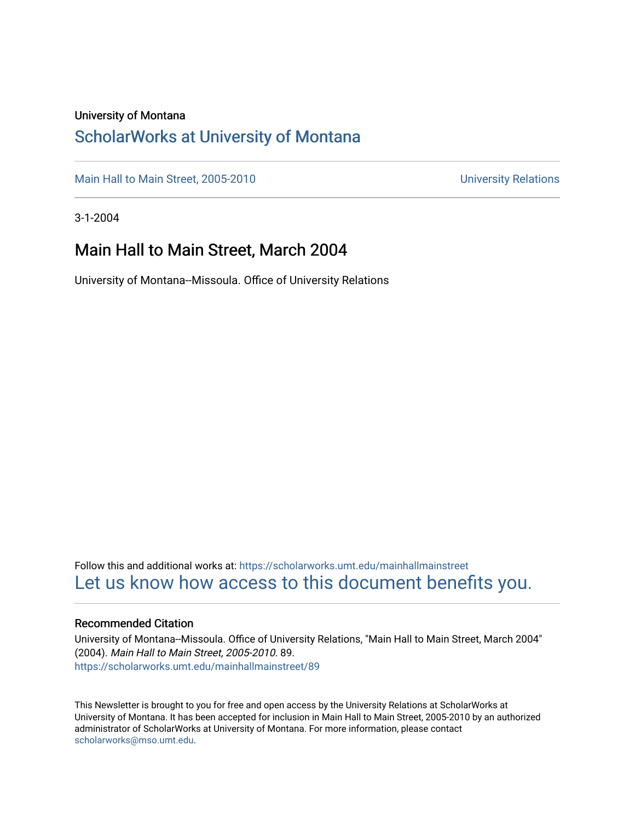#### University of Montana

#### [ScholarWorks at University of Montana](https://scholarworks.umt.edu/)

[Main Hall to Main Street, 2005-2010](https://scholarworks.umt.edu/mainhallmainstreet) Main Hall to Main Street, 2005-2010

3-1-2004

#### Main Hall to Main Street, March 2004

University of Montana--Missoula. Office of University Relations

Follow this and additional works at: [https://scholarworks.umt.edu/mainhallmainstreet](https://scholarworks.umt.edu/mainhallmainstreet?utm_source=scholarworks.umt.edu%2Fmainhallmainstreet%2F89&utm_medium=PDF&utm_campaign=PDFCoverPages) [Let us know how access to this document benefits you.](https://goo.gl/forms/s2rGfXOLzz71qgsB2) 

#### Recommended Citation

University of Montana--Missoula. Office of University Relations, "Main Hall to Main Street, March 2004" (2004). Main Hall to Main Street, 2005-2010. 89. [https://scholarworks.umt.edu/mainhallmainstreet/89](https://scholarworks.umt.edu/mainhallmainstreet/89?utm_source=scholarworks.umt.edu%2Fmainhallmainstreet%2F89&utm_medium=PDF&utm_campaign=PDFCoverPages) 

This Newsletter is brought to you for free and open access by the University Relations at ScholarWorks at University of Montana. It has been accepted for inclusion in Main Hall to Main Street, 2005-2010 by an authorized administrator of ScholarWorks at University of Montana. For more information, please contact [scholarworks@mso.umt.edu.](mailto:scholarworks@mso.umt.edu)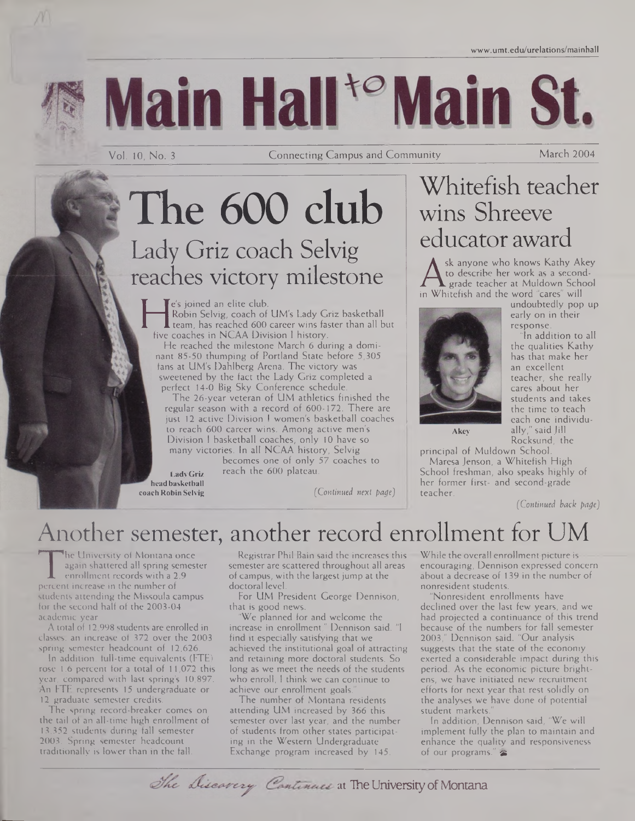

# Main Hall<sup>+o</sup> Main St.

Vol. 10, No. <sup>3</sup> Connecting Campus and Community March 2004

## The 600 club Lady Griz coach Selvig reaches victory milestone

Robin Selvig, coach of UM's Lady G<br>team, has reached 600 career wins fa<br>five coaches in NCAA Division I history.<br>He reached the milestone March 6 du Te's joined an elite club. Robin Selvig, coach of UM's Lady Griz basketball  $\blacksquare$  team, has reached 600 career wins faster than all but

He reached the milestone March 6 during a dominant 85-50 thumping of Portland State before 5,305 fans at UM's Dahlberg Arena. The victory was sweetened by the fact the Lady Griz completed a perfect 14-0 Big Sky Conference schedule.

The 26-year veteran of UM athletics finished the regular season with a record of 600-172. There are just 12 active Division <sup>I</sup> women's basketball coaches to reach 600 career wins. Among active men's Division <sup>I</sup> basketball coaches, only 10 have so many victories. In all NCAA history, Selvig

becomes one of only 57 coaches to LadyGriz reach the 600 plateau.

**headbasketball**

Whitefish teacher wins Shreeve educator award

to describe her work as a second-<br>grade teacher at Muldown Schoo<br>in Whitefish and the word "cares" will sk anyone who knows Kathy Akey . grade teacher at Muldown School in Whitefish and the word "cares" will



the qualities Kathy has that make her an excellent teacher, she really cares about her students and takes the time to teach each one individually," said Jill Rocksund, the

**Akey**

principal of Muldown School. Maresa Jenson, a Whitefish High School freshman, also speaks highly of her former first- and second-grade teacher.

*(Continued back page)*

## Another semester, another record enrollment for UM

**coach Robin Selvig** *(Continued next page)*

The dinversity of Nontana once<br>
again shattered all spring semeste<br>
enrollment records with a 2.9<br>
students attending the Missoula campus he University of Montana once again shattered all spring semester enrollment records with a 2.9 percent increase in the number of for the second half of the 2003-04 academic year.

A total of 12,998 students are enrolled in classes, an increase of 372 over the 2003 spring semester headcount of 12,626.

In addition, full-time equivalents (FTE) rose 1.6 percent for a total of 11,072 this year, compared with last spring's 10,897. An FTE represents 15 undergraduate or 12 graduate semester credits.

The spring record-breaker comes on the tail of an all-time high enrollment of 13,352 students during fall semester 2003. Spring semester headcount traditionally is lower than in the fall.

Registrar Phil Bain said the increases this semester are scattered throughout all areas of campus, with the largest jump at the doctoral level.

For UM President George Dennison, that is good news.

We planned for and welcome the increase in enrollment," Dennison said. "I find it especially satisfying that we achieved the institutional goal of attracting and retaining more doctoral students. So long as we meet the needs of the students who enroll, <sup>I</sup> think we can continue to achieve our enrollment goals.

The number of Montana residents attending UM increased by 366 this semester over last year, and the number of students from other states participating in the Western Undergraduate Exchange program increased by 145.

While the overall enrollment picture is encouraging, Dennison expressed concern about a decrease of 139 in the number of nonresident students.

Nonresident enrollments have declined over the last few years, and we had projected a continuance of this trend because of the numbers for fall semester 2003," Dennison said. "Our analysis suggests that the state of the economy exerted a considerable impact during this period. As the economic picture brightens, we have initiated new recruitment efforts for next year that rest solidly on the analyses we have done of potential student markets."

In addition, Dennison said, 'We will implement fully the plan to maintain and enhance the quality and responsiveness of our programs." $\approx$ 

The Discavery Continues at The University of Montana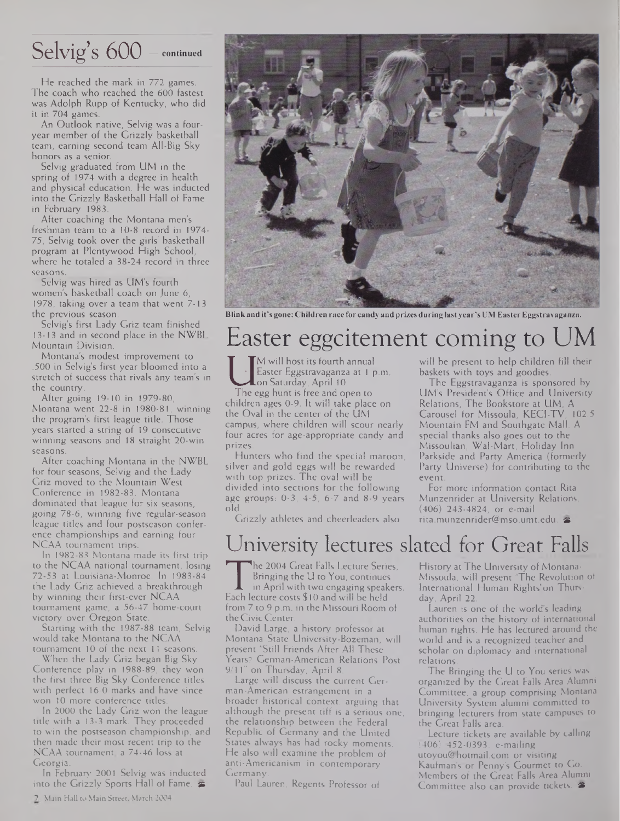## Selvig's 600 — **continued**

He reached the mark in 772 games. The coach who reached the 600 fastest was Adolph Rupp of Kentucky, who did it in 704 games.

An Outlook native, Selvig was a fouryear member of the Grizzly basketball team, earning second team All-Big Sky honors as a senior.

Selvig graduated from UM in the spring of 1974 with a degree in health and physical education. He was inducted into the Grizzly Basketball Hall of Fame in February 1983.

After coaching the Montana men's freshman team to a 10-8 record in 1974- 75, Selvig took over the girls' basketball program at Plentywood High School, where he totaled a 38-24 record in three seasons.

Selvig was hired as UM's fourth women's basketball coach on June 6, 1978, taking over a team that went 7-13 the previous season.

Selvig's first Lady Griz team finished 13-13 and in second place in the NWBL Mountain Division.

Montana's modest improvement to .500 in Selvig's first year bloomed into a stretch of success that rivals any team's in the country.

After going 19-10 in 1979-80, Montana went 22-8 in 1980-81, winning the program's first league title. Those years started a string of 19 consecutive winning seasons and 18 straight 20-win seasons.

After coaching Montana in the NWBL for four seasons, Selvig and the Lady Griz moved to the Mountain West Conference in 1982-83. Montana dominated that league for six seasons, going 78-6, winning five regular-season league titles and four postseason conference championships and earning four NCAA tournament trips.

In 1982-83 Montana made its first trip to the NCAA national tournament, losing 72-53 at Louisiana-Monroe. In 1983-84 the Lady Griz achieved a breakthrough by winning their first-ever NCAA tournament game, a 56-47 home-court victory over Oregon State.

Starting with the 1987-88 team, Selvig would take Montana to the NCAA tournament 10 of the next <sup>11</sup> seasons.

When the Lady Griz began Big Sky Conference play in 1988-89, they won the first three Big Sky Conference titles with perfect 16-0 marks and have since won 10 more conference titles.

In 2000 the Lady Griz won the league title with a 13-3 mark. They proceeded to win the postseason championship, and then made their most recent trip to the NCAA tournament, a 74-46 loss at Georgia.

In February 2001 Selvig was inducted into the Grizzly Sports Hall of Fame.  $\blacktriangleright$ 



Blink and it's gone: Children race for candy and prizes during last year's UM Easter Eggstravaganza.

### Easter eggcitement coming to U

Easter Eggstravaganza at 1 p.m.<br>The egg hunt is free and open to<br>children ages 0-9. It will take place on M will host its fourth annual Easter Eggstravaganza at <sup>1</sup> p.m. on Saturday, April 10.

The egg hunt is free and open to the Oval in the center of the UM campus, where children will scour nearly four acres for age-appropriate candy and prizes.

Hunters who find the special maroon, silver and gold eggs will be rewarded with top prizes. The oval will be divided into sections for the following age groups: 0-3, 4-5, 6-7 and 8-9 years old.

Grizzly athletes and cheerleaders also

## University lectures slated for Great Falls

he 2004 Great Falls Lecture Series, Bringing the U to You, continues

The 2004 Great rails Lecture Seri<br>Bringing the U to You, continue<br>Each lecture costs \$10 and will be held<br>from 7 to 9 p.m. in the Missouri Room in April with two engaging speakers. from 7 to 9 p.m. in the Missouri Room of the Civic Center.

David Large, a history professor at Montana State University-Bozeman, will present "Still Friends After All These Years? German-American Relations Post 9/11" on Thursday, April 8.

Large will discuss the current German-American estrangement in a broader historical context, arguing that although the present tiff is a serious one, the relationship between the Federal Republic of Germany and the United States always has had rocky moments. He also will examine the problem of anti-Americanism in contemporary Germany.

Paul Lauren, Regents Professor of

will be present to help children fill their baskets with toys and goodies.

The Eggstravaganza is sponsored by UM's President's Office and University Relations, The Bookstore at UM, A Carousel for Missoula, KEC1-TV, 102.5 Mountain FM and Southgate Mall. A special thanks also goes out to the Missoulian, Wal-Mart, Holiday Inn Parkside and Party America (formerly Party Universe) for contributing to the event.

For more information contact Rita Munzenrider at University Relations, (406) 243-4824, or e-mail [rita.munzenrider@mso.umt.edu](mailto:rita.munzenrider@mso.umt.edu).

History at The University of Montana-Missoula, will present "The Revolution of International Human Rights"on Thursday, April 22.

Lauren is one of the world's leading authorities on the history of international human rights. He has lectured around the world and is a recognized teacher and scholar on diplomacy and international relations.

The Bringing the U to You series was organized by the Great Falls Area Alumni Committee, a group comprising Montana University System alumni committed to bringing lecturers from state campuses to the Great Falls area.

Lecture tickets are available by calling (406) 452-0393, e-mailing [utoyou@hotmail.com](mailto:utoyou@hotmail.com) or visiting Kaufman's or Penny's Gourmet to Go. Members of the Great Falls Area Alumni Committee also can provide tickets.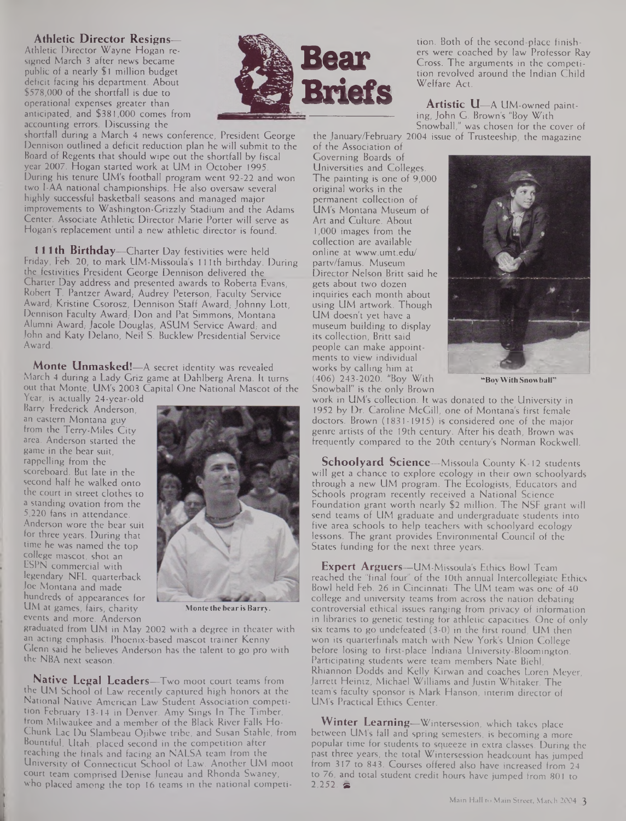#### **Athletic Director Resigns—**

Athletic Director Wayne Hogan resigned March 3 after news became public of a nearly \$1 million budget deficit facing his department. About \$578,000 of the shortfall is due to operational expenses greater than anticipated, and \$381,000 comes from accounting errors. Discussing the



shortfall during a March 4 news conference, President George Dennison outlined a deficit reduction plan he will submit to the Board of Regents that should wipe out the shortfall by fiscal year 2007. Hogan started work at UM in October 1995. During his tenure UM's football program went 92-22 and won two I-AA national championships. He also oversaw several highly successful basketball seasons and managed major improvements to Washington-Grizzly Stadium and the Adams Center. Associate Athletic Director Marie Porter will serve as Hogan's replacement until a new athletic director is found.

**111 th Birthday—**Charter Day festivities were held Friday, Feb. 20, to mark UM-Missoula's 111 th birthday. During the festivities President George Dennison delivered the Charter Day address and presented awards to Roberta Evans, Robert T. Pantzer Award, Audrey Peterson, Faculty Service Award, Kristine Csorosz, Dennison Staff Award, Johnny Lott, Dennison Faculty Award, Don and Pat Simmons, Montana Alumni Award, Jacole Douglas, ASUM Service Award, and John and Katy Delano, Neil S. Bucklew Presidential Service Award.

**Monte Unmasked!—**A secret identity was revealed March 4 during a Lady Griz game at Dahlberg Arena. It turns out that Monte, UM's 2003 Capital One National Mascot of the

Year, is actually 24-year-old Barry Frederick Anderson, an eastern Montana guy from the Terry-Miles City area. Anderson started the game in the bear suit, rappelling from the scoreboard. But late in the second half he walked onto the court in street clothes to a standing ovation from the 5,220 fans in attendance. Anderson wore the bear suit for three years. During that time he was named the top college mascot, shot an ESPN commercial with legendary NFL quarterback Joe Montana and made hundreds of appearances for UM at games, fairs, charity events and more. Anderson



**Monte thebearis Barry.**

graduated from UM in May 2002 with a degree in theater with an acting emphasis. Phoenix-based mascot trainer Kenny Glenn said he believes Anderson has the talent to go pro with the NBA next season.

**Native Legal Leaders—**Two moot court teams from the UM School of Law recently captured high honors at the National Native American Law Student Association competition February 13-14 in Denver. Amy Sings In The Timber, from Milwaukee and a member of the Black River Falls Ho-Chunk Lac Du Slambeau Ojibwe tribe, and Susan Stahle, from Bountiful, Utah, placed second in the competition after reaching the finals and facing an NALSA team from the University of Connecticut School of Law. Another UM moot court team comprised Denise Juneau and Rhonda Swaney, who placed among the top 16 teams in the national competition. Both of the second-place finishers were coached by law Professor Ray Cross. The arguments in the competition revolved around the Indian Child Welfare Act.

**Artistic** U—A UM-owned painting, John G. Brown's "Boy With Snowball," was chosen for the cover of

the January/February 2004 issue of Trusteeship, the magazine of the Association of

Governing Boards of Universities and Colleges. The painting is one of 9,000 original works in the permanent collection of UM's Montana Museum of Art and Culture. About 1,000 images from the collection are available online at [www.umt.edu/](http://www.umt.edu/) partv/famus. Museum Director Nelson Britt said he gets about two dozen inquiries each month about using UM artwork. Though UM doesn't yet have a museum building to display its collection, Britt said people can make appointments to view individual works by calling him at (406) 243-2020. "Boy With Snowball" is the only Brown



**"BoyWith Snowball"**

work in UM's collection. It was donated to the University in 1952 by Dr. Caroline McGill, one of Montana's first female doctors. Brown (1831-1915) is considered one of the major genre artists of the 19th century. After his death, Brown was frequently compared to the 20th century's Norman Rockwell.

**Schoolyard Science—**Missoula County K-12 students will get a chance to explore ecology in their own schoolyards through a new UM program. The Ecologists, Educators and Schools program recently received a National Science Foundation grant worth nearly \$2 million. The NSF grant will send teams of UM graduate and undergraduate students into five area schools to help teachers with schoolyard ecology lessons. The grant provides Environmental Council of the States funding for the next three years.

**Expert Arguers—**UM-Missoula's Ethics Bowl Team reached the "final four" of the 10th annual Intercollegiate Ethics Bowl held Feb. 26 in Cincinnati. The UM team was one of 40 college and university teams from across the nation debating controversial ethical issues ranging from privacy of information in libraries to genetic testing for athletic capacities. One of only six teams to go undefeated (3-0) in the first round, UM then won its quarterfinals match with New York's Union College before losing to first-place Indiana University-Bloomington. Participating students were team members Nate Biehl Rhiannon Dodds and Kelly Kirwan and coaches Loren Meyer, Jarrett Heintz, Michael Williams and Justin Whitaker. The team's faculty sponsor is Mark Hanson, interim director of UM's Practical Ethics Center.

**Winter Learning—**Wintersession, which takes place between UM's fall and spring semesters, is becoming a more popular time for students to squeeze in extra classes. During the past three years, the total Wintersession headcount has jumped from 317 to 843. Courses offered also have increased from 24 to 76, and total student credit hours have jumped from 801 to<br>2,252.  $\blacktriangleright$